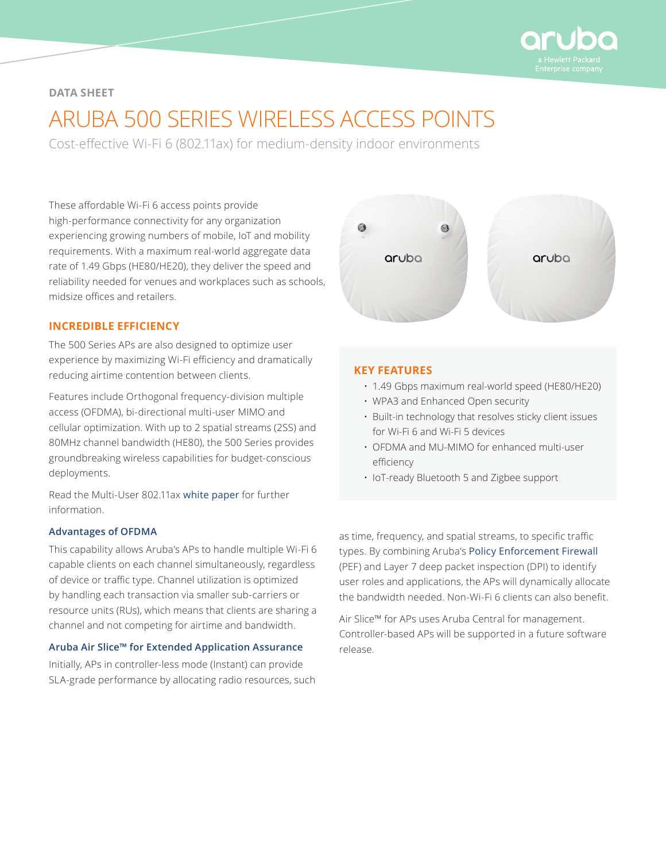

# **DATA SHEET**

# ARUBA 500 SERIES WIRELESS ACCESS POINTS

Cost-effective Wi-Fi 6 (802.11ax) for medium-density indoor environments

These affordable Wi-Fi 6 access points provide high-performance connectivity for any organization experiencing growing numbers of mobile, IoT and mobility requirements. With a maximum real-world aggregate data rate of 1.49 Gbps (HE80/HE20), they deliver the speed and reliability needed for venues and workplaces such as schools, midsize offices and retailers.



# **INCREDIBLE EFFICIENCY**

The 500 Series APs are also designed to optimize user experience by maximizing Wi-Fi efficiency and dramatically reducing airtime contention between clients.

Features include Orthogonal frequency-division multiple access (OFDMA), bi-directional multi-user MIMO and cellular optimization. With up to 2 spatial streams (2SS) and 80MHz channel bandwidth (HE80), the 500 Series provides groundbreaking wireless capabilities for budget-conscious deployments.

Read the Multi-User 802.11ax [white paper](https://www.arubanetworks.com/assets/wp/WP_Multi-User-802.11ax.pdf) for further information.

#### **Advantages of OFDMA**

This capability allows Aruba's APs to handle multiple Wi-Fi 6 capable clients on each channel simultaneously, regardless of device or traffic type. Channel utilization is optimized by handling each transaction via smaller sub-carriers or resource units (RUs), which means that clients are sharing a channel and not competing for airtime and bandwidth.

# **Aruba Air Slice™ for Extended Application Assurance**

Initially, APs in controller-less mode (Instant) can provide SLA-grade performance by allocating radio resources, such

#### **KEY FEATURES**

- 1.49 Gbps maximum real-world speed (HE80/HE20)
- WPA3 and Enhanced Open security
- Built-in technology that resolves sticky client issues for Wi-Fi 6 and Wi-Fi 5 devices
- OFDMA and MU-MIMO for enhanced multi-user efficiency
- IoT-ready Bluetooth 5 and Zigbee support

as time, frequency, and spatial streams, to specific traffic types. By combining Aruba's [Policy Enforcement Firewall](https://www.arubanetworks.com/assets/tg/TB_PEF.pdf) (PEF) and Layer 7 deep packet inspection (DPI) to identify user roles and applications, the APs will dynamically allocate the bandwidth needed. Non-Wi-Fi 6 clients can also benefit.

Air Slice™ for APs uses Aruba Central for management. Controller-based APs will be supported in a future software release.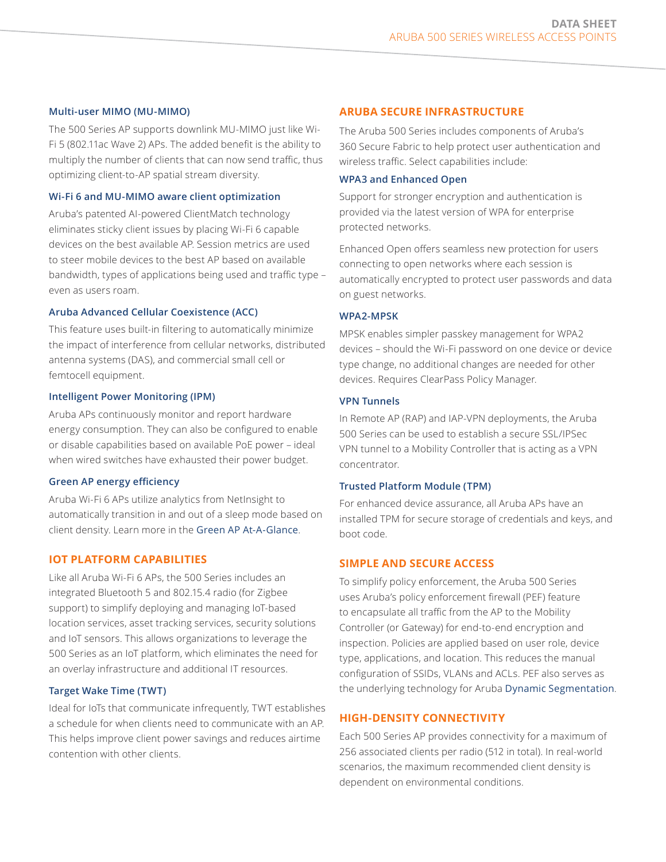#### **Multi-user MIMO (MU-MIMO)**

The 500 Series AP supports downlink MU-MIMO just like Wi-Fi 5 (802.11ac Wave 2) APs. The added benefit is the ability to multiply the number of clients that can now send traffic, thus optimizing client-to-AP spatial stream diversity.

#### **Wi-Fi 6 and MU-MIMO aware client optimization**

Aruba's patented AI-powered ClientMatch technology eliminates sticky client issues by placing Wi-Fi 6 capable devices on the best available AP. Session metrics are used to steer mobile devices to the best AP based on available bandwidth, types of applications being used and traffic type – even as users roam.

# **Aruba Advanced Cellular Coexistence (ACC)**

This feature uses built-in filtering to automatically minimize the impact of interference from cellular networks, distributed antenna systems (DAS), and commercial small cell or femtocell equipment.

# **Intelligent Power Monitoring (IPM)**

Aruba APs continuously monitor and report hardware energy consumption. They can also be configured to enable or disable capabilities based on available PoE power – ideal when wired switches have exhausted their power budget.

#### **Green AP energy efficiency**

Aruba Wi-Fi 6 APs utilize analytics from NetInsight to automatically transition in and out of a sleep mode based on client density. Learn more in the [Green AP At-A-Glance](https://www.arubanetworks.com/assets/eo/AAG_Green-AP.pdf).

# **IOT PLATFORM CAPABILITIES**

Like all Aruba Wi-Fi 6 APs, the 500 Series includes an integrated Bluetooth 5 and 802.15.4 radio (for Zigbee support) to simplify deploying and managing IoT-based location services, asset tracking services, security solutions and IoT sensors. This allows organizations to leverage the 500 Series as an IoT platform, which eliminates the need for an overlay infrastructure and additional IT resources.

#### **Target Wake Time (TWT)**

Ideal for IoTs that communicate infrequently, TWT establishes a schedule for when clients need to communicate with an AP. This helps improve client power savings and reduces airtime contention with other clients.

# **ARUBA SECURE INFRASTRUCTURE**

The Aruba 500 Series includes components of Aruba's 360 Secure Fabric to help protect user authentication and wireless traffic. Select capabilities include:

# **WPA3 and Enhanced Open**

Support for stronger encryption and authentication is provided via the latest version of WPA for enterprise protected networks.

Enhanced Open offers seamless new protection for users connecting to open networks where each session is automatically encrypted to protect user passwords and data on guest networks.

#### **WPA2-MPSK**

MPSK enables simpler passkey management for WPA2 devices – should the Wi-Fi password on one device or device type change, no additional changes are needed for other devices. Requires ClearPass Policy Manager.

# **VPN Tunnels**

In Remote AP (RAP) and IAP-VPN deployments, the Aruba 500 Series can be used to establish a secure SSL/IPSec VPN tunnel to a Mobility Controller that is acting as a VPN concentrator.

#### **Trusted Platform Module (TPM)**

For enhanced device assurance, all Aruba APs have an installed TPM for secure storage of credentials and keys, and boot code.

# **SIMPLE AND SECURE ACCESS**

To simplify policy enforcement, the Aruba 500 Series uses Aruba's policy enforcement firewall (PEF) feature to encapsulate all traffic from the AP to the Mobility Controller (or Gateway) for end-to-end encryption and inspection. Policies are applied based on user role, device type, applications, and location. This reduces the manual configuration of SSIDs, VLANs and ACLs. PEF also serves as the underlying technology for Aruba [Dynamic Segmentation](https://www.arubanetworks.com/solutions/dynamic-segmentation/).

# **HIGH-DENSITY CONNECTIVITY**

Each 500 Series AP provides connectivity for a maximum of 256 associated clients per radio (512 in total). In real-world scenarios, the maximum recommended client density is dependent on environmental conditions.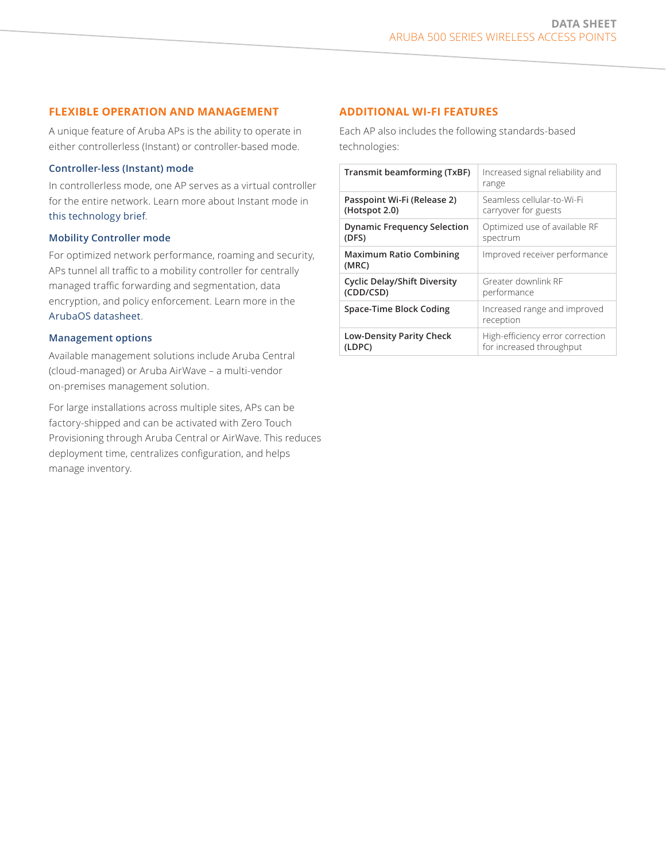# **FLEXIBLE OPERATION AND MANAGEMENT**

A unique feature of Aruba APs is the ability to operate in either controllerless (Instant) or controller-based mode.

#### **Controller-less (Instant) mode**

In controllerless mode, one AP serves as a virtual controller for the entire network. Learn more about Instant mode in [this technology brief](https://www.arubanetworks.com/assets/tg/TB_Instant-Wi-Fi.pdf).

### **Mobility Controller mode**

For optimized network performance, roaming and security, APs tunnel all traffic to a mobility controller for centrally managed traffic forwarding and segmentation, data encryption, and policy enforcement. Learn more in the [ArubaOS datasheet](https://www.arubanetworks.com/assets/ds/DS_ArubaOS.pdf).

# **Management options**

Available management solutions include Aruba Central (cloud-managed) or Aruba AirWave – a multi-vendor on‑premises management solution.

For large installations across multiple sites, APs can be factory-shipped and can be activated with Zero Touch Provisioning through Aruba Central or AirWave. This reduces deployment time, centralizes configuration, and helps manage inventory.

# **ADDITIONAL WI-FI FEATURES**

Each AP also includes the following standards-based technologies:

| Transmit beamforming (TxBF)             | Increased signal reliability and<br>range |
|-----------------------------------------|-------------------------------------------|
| Passpoint Wi-Fi (Release 2)             | Seamless cellular-to-Wi-Fi                |
| (Hotspot 2.0)                           | carryover for guests                      |
| <b>Dynamic Frequency Selection</b>      | Optimized use of available RF             |
| (DFS)                                   | spectrum                                  |
| <b>Maximum Ratio Combining</b><br>(MRC) | Improved receiver performance             |
| <b>Cyclic Delay/Shift Diversity</b>     | Greater downlink RF                       |
| (CDD/CSD)                               | performance                               |
| Space-Time Block Coding                 | Increased range and improved<br>reception |
| <b>Low-Density Parity Check</b>         | High-efficiency error correction          |
| (LDPC)                                  | for increased throughput                  |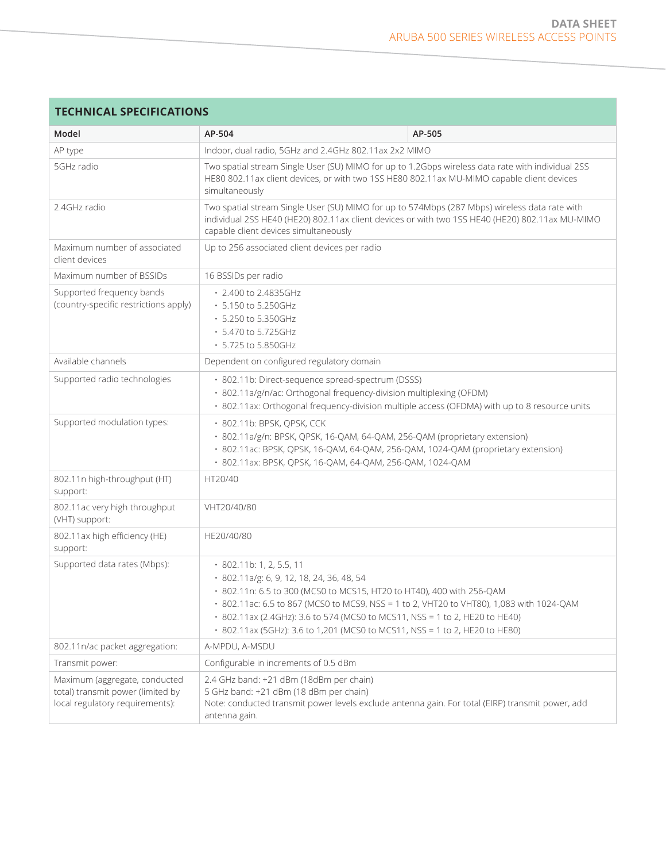| <b>TECHNICAL SPECIFICATIONS</b>                                                                       |                                                                                                                                                                                                                                                                                                                                                                                                                      |        |
|-------------------------------------------------------------------------------------------------------|----------------------------------------------------------------------------------------------------------------------------------------------------------------------------------------------------------------------------------------------------------------------------------------------------------------------------------------------------------------------------------------------------------------------|--------|
| Model                                                                                                 | AP-504                                                                                                                                                                                                                                                                                                                                                                                                               | AP-505 |
| AP type                                                                                               | Indoor, dual radio, 5GHz and 2.4GHz 802.11ax 2x2 MIMO                                                                                                                                                                                                                                                                                                                                                                |        |
| 5GHz radio                                                                                            | Two spatial stream Single User (SU) MIMO for up to 1.2Gbps wireless data rate with individual 2SS<br>HE80 802.11ax client devices, or with two 1SS HE80 802.11ax MU-MIMO capable client devices<br>simultaneously                                                                                                                                                                                                    |        |
| 2.4GHz radio                                                                                          | Two spatial stream Single User (SU) MIMO for up to 574Mbps (287 Mbps) wireless data rate with<br>individual 2SS HE40 (HE20) 802.11ax client devices or with two 1SS HE40 (HE20) 802.11ax MU-MIMO<br>capable client devices simultaneously                                                                                                                                                                            |        |
| Maximum number of associated<br>client devices                                                        | Up to 256 associated client devices per radio                                                                                                                                                                                                                                                                                                                                                                        |        |
| Maximum number of BSSIDs                                                                              | 16 BSSIDs per radio                                                                                                                                                                                                                                                                                                                                                                                                  |        |
| Supported frequency bands<br>(country-specific restrictions apply)                                    | $\cdot$ 2.400 to 2.4835GHz<br>• 5.150 to 5.250GHz<br>• 5.250 to 5.350GHz<br>• 5.470 to 5.725GHz<br>• 5.725 to 5.850GHz                                                                                                                                                                                                                                                                                               |        |
| Available channels                                                                                    | Dependent on configured regulatory domain                                                                                                                                                                                                                                                                                                                                                                            |        |
| Supported radio technologies                                                                          | · 802.11b: Direct-sequence spread-spectrum (DSSS)<br>· 802.11a/g/n/ac: Orthogonal frequency-division multiplexing (OFDM)<br>· 802.11ax: Orthogonal frequency-division multiple access (OFDMA) with up to 8 resource units                                                                                                                                                                                            |        |
| Supported modulation types:                                                                           | • 802.11b: BPSK, QPSK, CCK<br>· 802.11a/g/n: BPSK, QPSK, 16-QAM, 64-QAM, 256-QAM (proprietary extension)<br>· 802.11ac: BPSK, QPSK, 16-QAM, 64-QAM, 256-QAM, 1024-QAM (proprietary extension)<br>• 802.11ax: BPSK, QPSK, 16-QAM, 64-QAM, 256-QAM, 1024-QAM                                                                                                                                                           |        |
| 802.11n high-throughput (HT)<br>support:                                                              | HT20/40                                                                                                                                                                                                                                                                                                                                                                                                              |        |
| 802.11ac very high throughput<br>(VHT) support:                                                       | VHT20/40/80                                                                                                                                                                                                                                                                                                                                                                                                          |        |
| 802.11ax high efficiency (HE)<br>support:                                                             | HE20/40/80                                                                                                                                                                                                                                                                                                                                                                                                           |        |
| Supported data rates (Mbps):                                                                          | $\cdot$ 802.11b: 1, 2, 5.5, 11<br>$\cdot$ 802.11a/g: 6, 9, 12, 18, 24, 36, 48, 54<br>• 802.11n: 6.5 to 300 (MCS0 to MCS15, HT20 to HT40), 400 with 256-QAM<br>• 802.11ac: 6.5 to 867 (MCS0 to MCS9, NSS = 1 to 2, VHT20 to VHT80), 1,083 with 1024-QAM<br>• 802.11ax (2.4GHz): 3.6 to 574 (MCS0 to MCS11, NSS = 1 to 2, HE20 to HE40)<br>• 802.11ax (5GHz): 3.6 to 1,201 (MCS0 to MCS11, NSS = 1 to 2, HE20 to HE80) |        |
| 802.11n/ac packet aggregation:                                                                        | A-MPDU, A-MSDU                                                                                                                                                                                                                                                                                                                                                                                                       |        |
| Transmit power:                                                                                       | Configurable in increments of 0.5 dBm                                                                                                                                                                                                                                                                                                                                                                                |        |
| Maximum (aggregate, conducted<br>total) transmit power (limited by<br>local regulatory requirements): | 2.4 GHz band: +21 dBm (18dBm per chain)<br>5 GHz band: +21 dBm (18 dBm per chain)<br>Note: conducted transmit power levels exclude antenna gain. For total (EIRP) transmit power, add<br>antenna gain.                                                                                                                                                                                                               |        |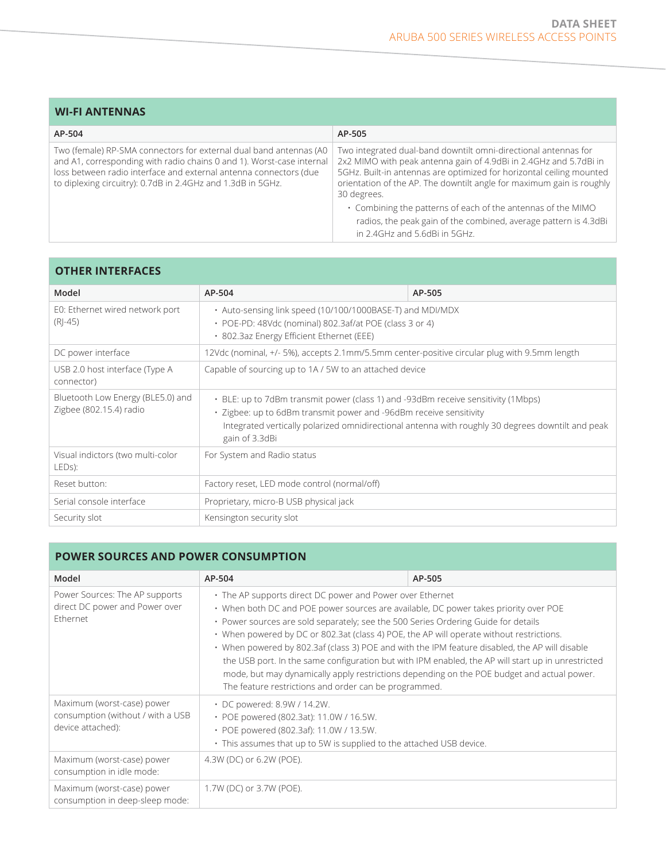| <b>WI-FI ANTENNAS</b>                                                                                                                                                                                                                                                           |                                                                                                                                                                                                                                                                                                                                                                                                                                                                           |
|---------------------------------------------------------------------------------------------------------------------------------------------------------------------------------------------------------------------------------------------------------------------------------|---------------------------------------------------------------------------------------------------------------------------------------------------------------------------------------------------------------------------------------------------------------------------------------------------------------------------------------------------------------------------------------------------------------------------------------------------------------------------|
| AP-504                                                                                                                                                                                                                                                                          | AP-505                                                                                                                                                                                                                                                                                                                                                                                                                                                                    |
| Two (female) RP-SMA connectors for external dual band antennas (AO<br>and A1, corresponding with radio chains 0 and 1). Worst-case internal<br>loss between radio interface and external antenna connectors (due<br>to diplexing circuitry): 0.7dB in 2.4GHz and 1.3dB in 5GHz. | Two integrated dual-band downtilt omni-directional antennas for<br>2x2 MIMO with peak antenna gain of 4.9dBi in 2.4GHz and 5.7dBi in<br>5GHz. Built-in antennas are optimized for horizontal ceiling mounted<br>orientation of the AP. The downtilt angle for maximum gain is roughly<br>30 degrees.<br>• Combining the patterns of each of the antennas of the MIMO<br>radios, the peak gain of the combined, average pattern is 4.3dBi<br>in 2.4GHz and 5.6dBi in 5GHz. |

| Model                                                        | AP-504                                                                                                                                                                                                                                                                         | AP-505 |
|--------------------------------------------------------------|--------------------------------------------------------------------------------------------------------------------------------------------------------------------------------------------------------------------------------------------------------------------------------|--------|
| E0: Ethernet wired network port<br>$(R -45)$                 | • Auto-sensing link speed (10/100/1000BASE-T) and MDI/MDX<br>• POE-PD: 48Vdc (nominal) 802.3af/at POE (class 3 or 4)<br>• 802.3az Energy Efficient Ethernet (EEE)                                                                                                              |        |
| DC power interface                                           | 12Vdc (nominal, +/- 5%), accepts 2.1mm/5.5mm center-positive circular plug with 9.5mm length                                                                                                                                                                                   |        |
| USB 2.0 host interface (Type A<br>connector)                 | Capable of sourcing up to 1A / 5W to an attached device                                                                                                                                                                                                                        |        |
| Bluetooth Low Energy (BLE5.0) and<br>Zigbee (802.15.4) radio | • BLE: up to 7dBm transmit power (class 1) and -93dBm receive sensitivity (1Mbps)<br>· Zigbee: up to 6dBm transmit power and -96dBm receive sensitivity<br>Integrated vertically polarized omnidirectional antenna with roughly 30 degrees downtilt and peak<br>gain of 3.3dBi |        |
| Visual indictors (two multi-color<br>LEDs):                  | For System and Radio status                                                                                                                                                                                                                                                    |        |
| Reset button:                                                | Factory reset, LED mode control (normal/off)                                                                                                                                                                                                                                   |        |
| Serial console interface                                     | Proprietary, micro-B USB physical jack                                                                                                                                                                                                                                         |        |
| Security slot                                                | Kensington security slot                                                                                                                                                                                                                                                       |        |

# **POWER SOURCES AND POWER CONSUMPTION**

| Model                                                                                | AP-504                                                                                                                                                                                                                                                                                                                                                                                                                                                                                         | AP-505                                                                                                                                                                                           |
|--------------------------------------------------------------------------------------|------------------------------------------------------------------------------------------------------------------------------------------------------------------------------------------------------------------------------------------------------------------------------------------------------------------------------------------------------------------------------------------------------------------------------------------------------------------------------------------------|--------------------------------------------------------------------------------------------------------------------------------------------------------------------------------------------------|
| Power Sources: The AP supports<br>direct DC power and Power over<br>Ethernet         | • The AP supports direct DC power and Power over Ethernet<br>• When both DC and POE power sources are available, DC power takes priority over POE<br>• Power sources are sold separately; see the 500 Series Ordering Guide for details<br>• When powered by DC or 802.3at (class 4) POE, the AP will operate without restrictions.<br>• When powered by 802.3af (class 3) POE and with the IPM feature disabled, the AP will disable<br>The feature restrictions and order can be programmed. | the USB port. In the same configuration but with IPM enabled, the AP will start up in unrestricted<br>mode, but may dynamically apply restrictions depending on the POE budget and actual power. |
| Maximum (worst-case) power<br>consumption (without / with a USB<br>device attached): | • DC powered: 8.9W / 14.2W.<br>· POE powered (802.3at): 11.0W / 16.5W.<br>• POE powered (802.3af): 11.0W / 13.5W.<br>· This assumes that up to 5W is supplied to the attached USB device.                                                                                                                                                                                                                                                                                                      |                                                                                                                                                                                                  |
| Maximum (worst-case) power<br>consumption in idle mode:                              | 4.3W (DC) or 6.2W (POE).                                                                                                                                                                                                                                                                                                                                                                                                                                                                       |                                                                                                                                                                                                  |
| Maximum (worst-case) power<br>consumption in deep-sleep mode:                        | 1.7W (DC) or 3.7W (POE).                                                                                                                                                                                                                                                                                                                                                                                                                                                                       |                                                                                                                                                                                                  |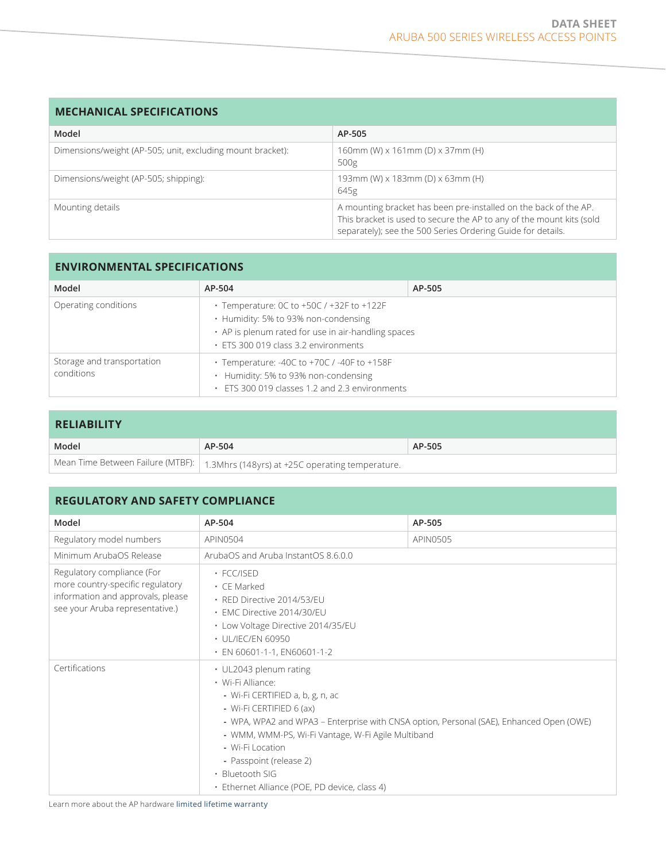# **MECHANICAL SPECIFICATIONS**

| Model                                                      | AP-505                                                                                                                                                                                                  |
|------------------------------------------------------------|---------------------------------------------------------------------------------------------------------------------------------------------------------------------------------------------------------|
| Dimensions/weight (AP-505; unit, excluding mount bracket): | 160mm (W) x 161mm (D) x 37mm (H)<br>500 <sub>g</sub>                                                                                                                                                    |
| Dimensions/weight (AP-505; shipping):                      | 193mm (W) x 183mm (D) x 63mm (H)<br>645g                                                                                                                                                                |
| Mounting details                                           | A mounting bracket has been pre-installed on the back of the AP.<br>This bracket is used to secure the AP to any of the mount kits (sold<br>separately); see the 500 Series Ordering Guide for details. |

| <b>ENVIRONMENTAL SPECIFICATIONS</b>      |                                                                                                                                                                                      |        |
|------------------------------------------|--------------------------------------------------------------------------------------------------------------------------------------------------------------------------------------|--------|
| Model                                    | AP-504                                                                                                                                                                               | AP-505 |
| Operating conditions                     | $\cdot$ Temperature: OC to +50C / +32F to +122F<br>• Humidity: 5% to 93% non-condensing<br>• AP is plenum rated for use in air-handling spaces<br>ETS 300 019 class 3.2 environments |        |
| Storage and transportation<br>conditions | • Temperature: $-40C$ to $+70C$ / $-40F$ to $+158F$<br>• Humidity: 5% to 93% non-condensing<br>ETS 300 019 classes 1.2 and 2.3 environments                                          |        |

# **RELIABILITY**

| ---------------- |                                                                                     |        |
|------------------|-------------------------------------------------------------------------------------|--------|
| Model            | AP-504                                                                              | AP-505 |
|                  | Mean Time Between Failure (MTBF):   1.3Mhrs (148yrs) at +25C operating temperature. |        |

# **REGULATORY AND SAFETY COMPLIANCE**

| Model                                                                                                                                  | AP-504                                                                                                                                                                                                                                                                                                                                                                          | AP-505   |
|----------------------------------------------------------------------------------------------------------------------------------------|---------------------------------------------------------------------------------------------------------------------------------------------------------------------------------------------------------------------------------------------------------------------------------------------------------------------------------------------------------------------------------|----------|
| Regulatory model numbers                                                                                                               | APIN0504                                                                                                                                                                                                                                                                                                                                                                        | APIN0505 |
| Minimum ArubaOS Release                                                                                                                | ArubaOS and Aruba InstantOS 8.6.0.0                                                                                                                                                                                                                                                                                                                                             |          |
| Regulatory compliance (For<br>more country-specific regulatory<br>information and approvals, please<br>see your Aruba representative.) | $\cdot$ FCC/ISED<br>$\cdot$ CF Marked<br>• RED Directive 2014/53/EU<br>• EMC Directive 2014/30/EU<br>• Low Voltage Directive 2014/35/EU<br>$\cdot$ UL/IEC/EN 60950<br>$\cdot$ EN 60601-1-1, EN60601-1-2                                                                                                                                                                         |          |
| Certifications                                                                                                                         | • UL2043 plenum rating<br>• Wi-Fi Alliance:<br>- Wi-Fi CERTIFIED a, b, g, n, ac<br>- Wi-Fi CERTIFIED 6 (ax)<br>- WPA, WPA2 and WPA3 – Enterprise with CNSA option, Personal (SAE), Enhanced Open (OWE)<br>- WMM, WMM-PS, Wi-Fi Vantage, W-Fi Agile Multiband<br>- Wi-Fi Location<br>- Passpoint (release 2)<br>• Bluetooth SIG<br>• Ethernet Alliance (POE, PD device, class 4) |          |

Learn more about the AP hardware [limited lifetime warranty](https://www.arubanetworks.com/support-services/product-warranties/)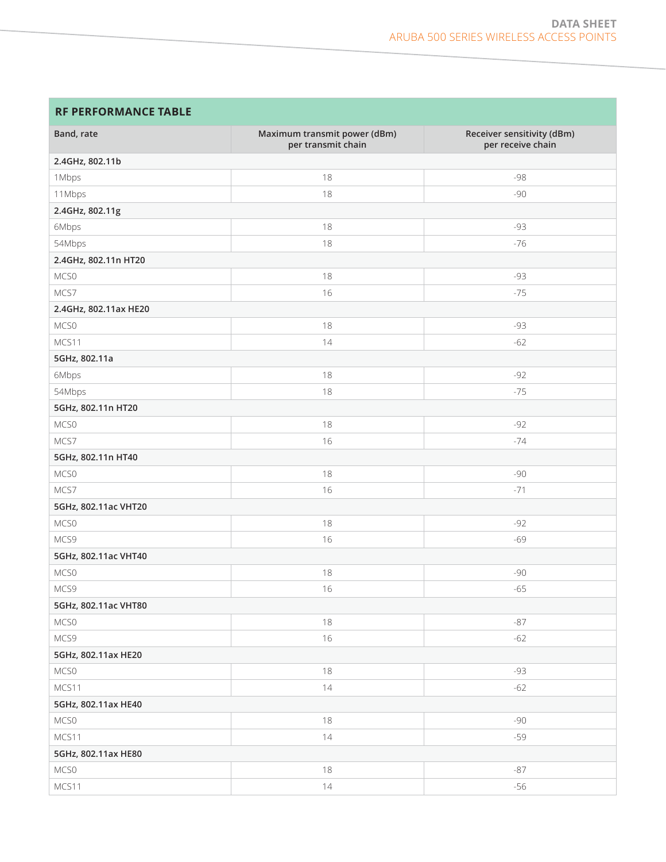# **RF PERFORMANCE TABLE**

| Band, rate            | Maximum transmit power (dBm)<br>per transmit chain | Receiver sensitivity (dBm)<br>per receive chain |
|-----------------------|----------------------------------------------------|-------------------------------------------------|
| 2.4GHz, 802.11b       |                                                    |                                                 |
| 1Mbps                 | 18                                                 | -98                                             |
| 11Mbps                | 18                                                 | -90                                             |
| 2.4GHz, 802.11g       |                                                    |                                                 |
| 6Mbps                 | 18                                                 | -93                                             |
| 54Mbps                | 18                                                 | $-76$                                           |
| 2.4GHz, 802.11n HT20  |                                                    |                                                 |
| MCS0                  | 18                                                 | -93                                             |
| MCS7                  | 16                                                 | $-75$                                           |
| 2.4GHz, 802.11ax HE20 |                                                    |                                                 |
| MCS0                  | 18                                                 | $-93$                                           |
| MCS11                 | 14                                                 | $-62$                                           |
| 5GHz, 802.11a         |                                                    |                                                 |
| 6Mbps                 | 18                                                 | $-92$                                           |
| 54Mbps                | 18                                                 | $-75$                                           |
| 5GHz, 802.11n HT20    |                                                    |                                                 |
| MCS0                  | 18                                                 | $-92$                                           |
| MCS7                  | 16                                                 | $-74$                                           |
| 5GHz, 802.11n HT40    |                                                    |                                                 |
| MCS0                  | 18                                                 | $-90$                                           |
| MCS7                  | 16                                                 | $-71$                                           |
| 5GHz, 802.11ac VHT20  |                                                    |                                                 |
| MCS0                  | 18                                                 | $-92$                                           |
| MCS9                  | 16                                                 | $-69$                                           |
| 5GHz, 802.11ac VHT40  |                                                    |                                                 |
| MCS0                  | 18                                                 | $-90$                                           |
| MCS9                  | 16                                                 | $-65$                                           |
| 5GHz, 802.11ac VHT80  |                                                    |                                                 |
| MCS0                  | 18                                                 | $-87$                                           |
| MCS9                  | 16                                                 | $-62$                                           |
| 5GHz, 802.11ax HE20   |                                                    |                                                 |
| MCS0                  | 18                                                 | -93                                             |
| MCS11                 | 14                                                 | $-62$                                           |
| 5GHz, 802.11ax HE40   |                                                    |                                                 |
| MCS0                  | $18\,$                                             | $-90$                                           |
| MCS11                 | 14                                                 | $-59$                                           |
| 5GHz, 802.11ax HE80   |                                                    |                                                 |
| MCS0                  | $18\,$                                             | $-87$                                           |
| MCS11                 | $14$                                               | $-56$                                           |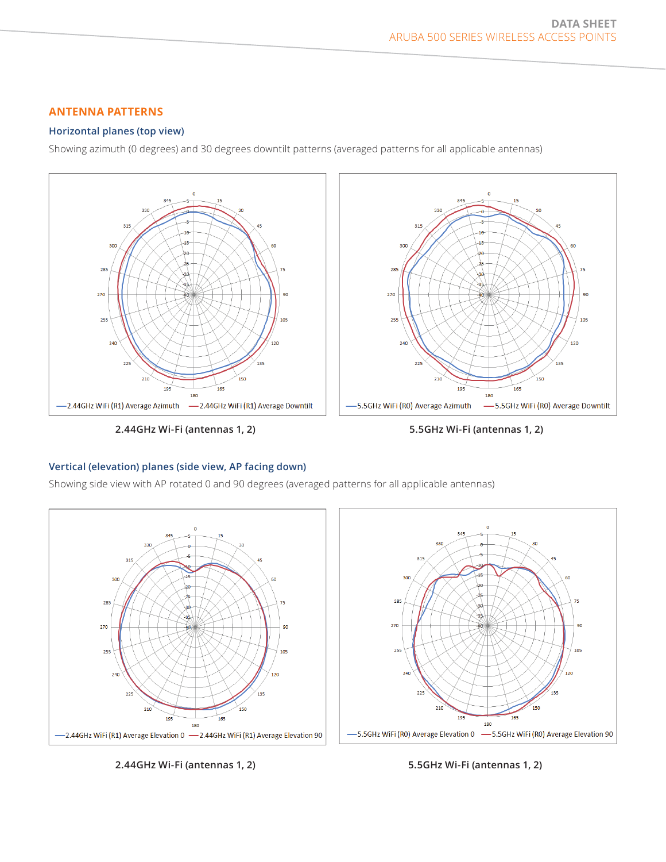# **ANTENNA PATTERNS**

# **Horizontal planes (top view)**

Showing azimuth (0 degrees) and 30 degrees downtilt patterns (averaged patterns for all applicable antennas)



**2.44GHz Wi-Fi (antennas 1, 2)**

#### **5.5GHz Wi-Fi (antennas 1, 2)**

# **Vertical (elevation) planes (side view, AP facing down)**

Showing side view with AP rotated 0 and 90 degrees (averaged patterns for all applicable antennas)



#### **2.44GHz Wi-Fi (antennas 1, 2)**

**5.5GHz Wi-Fi (antennas 1, 2)**